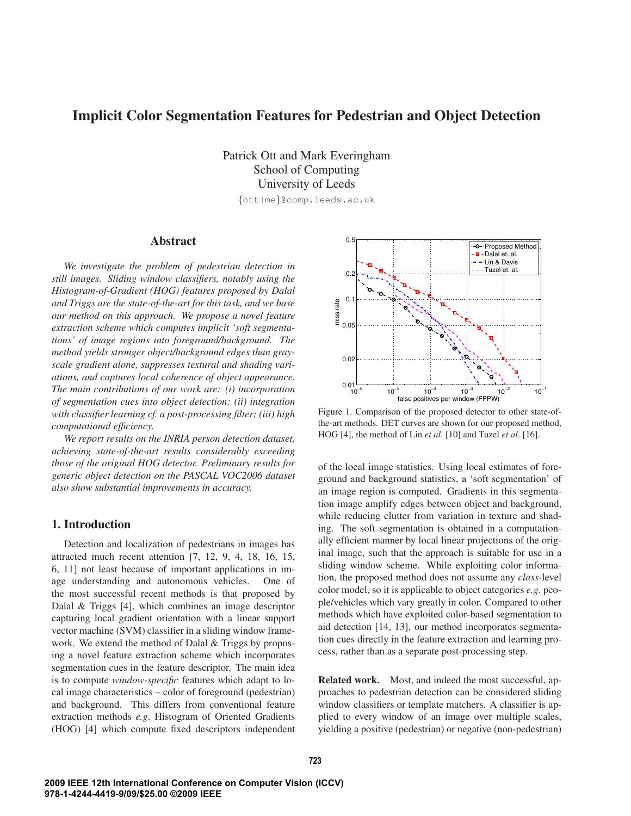# **Implicit Color Segmentation Features for Pedestrian and Object Detection**

Patrick Ott and Mark Everingham School of Computing University of Leeds {ott|me}@comp.leeds.ac.uk

# **Abstract**

*We investigate the problem of pedestrian detection in still images. Sliding window classifiers, notably using the Histogram-of-Gradient (HOG) features proposed by Dalal and Triggs are the state-of-the-art for this task, and we base our method on this approach. We propose a novel feature extraction scheme which computes implicit 'soft segmentations' of image regions into foreground/background. The method yields stronger object/background edges than grayscale gradient alone, suppresses textural and shading variations, and captures local coherence of object appearance. The main contributions of our work are: (i) incorporation of segmentation cues into object detection; (ii) integration with classifier learning cf. a post-processing filter; (iii) high computational efficiency.*

*We report results on the INRIA person detection dataset, achieving state-of-the-art results considerably exceeding those of the original HOG detector. Preliminary results for generic object detection on the PASCAL VOC2006 dataset also show substantial improvements in accuracy.*

### **1. Introduction**

Detection and localization of pedestrians in images has attracted much recent attention [7, 12, 9, 4, 18, 16, 15, 6, 11] not least because of important applications in image understanding and autonomous vehicles. One of the most successful recent methods is that proposed by Dalal & Triggs [4], which combines an image descriptor capturing local gradient orientation with a linear support vector machine (SVM) classifier in a sliding window framework. We extend the method of Dalal & Triggs by proposing a novel feature extraction scheme which incorporates segmentation cues in the feature descriptor. The main idea is to compute *window-specific* features which adapt to local image characteristics – color of foreground (pedestrian) and background. This differs from conventional feature extraction methods *e.g*. Histogram of Oriented Gradients (HOG) [4] which compute fixed descriptors independent



Figure 1. Comparison of the proposed detector to other state-ofthe-art methods. DET curves are shown for our proposed method, HOG [4], the method of Lin *et al*. [10] and Tuzel *et al*. [16].

of the local image statistics. Using local estimates of foreground and background statistics, a 'soft segmentation' of an image region is computed. Gradients in this segmentation image amplify edges between object and background, while reducing clutter from variation in texture and shading. The soft segmentation is obtained in a computationally efficient manner by local linear projections of the original image, such that the approach is suitable for use in a sliding window scheme. While exploiting color information, the proposed method does not assume any *class*-level color model, so it is applicable to object categories *e.g*. people/vehicles which vary greatly in color. Compared to other methods which have exploited color-based segmentation to aid detection [14, 13], our method incorporates segmentation cues directly in the feature extraction and learning process, rather than as a separate post-processing step.

**Related work.** Most, and indeed the most successful, approaches to pedestrian detection can be considered sliding window classifiers or template matchers. A classifier is applied to every window of an image over multiple scales, yielding a positive (pedestrian) or negative (non-pedestrian)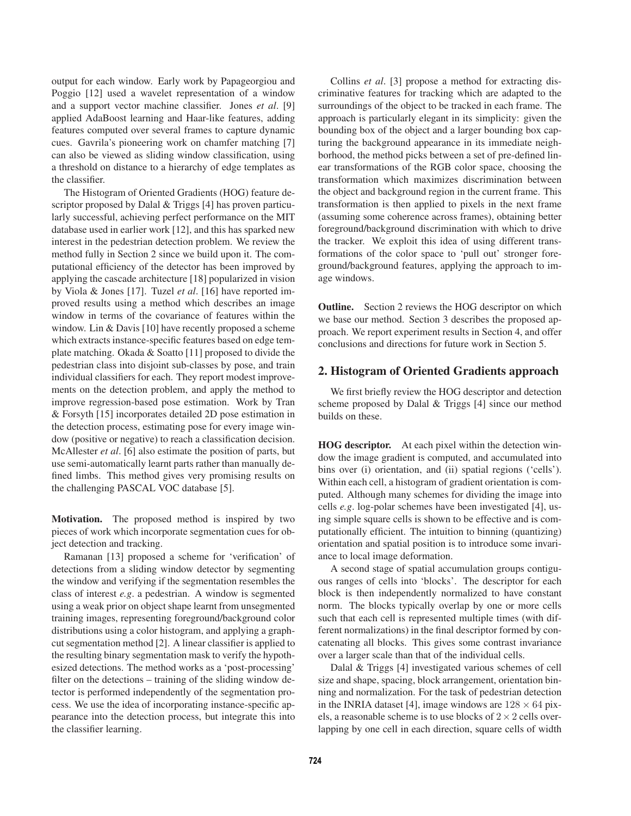output for each window. Early work by Papageorgiou and Poggio [12] used a wavelet representation of a window and a support vector machine classifier. Jones *et al*. [9] applied AdaBoost learning and Haar-like features, adding features computed over several frames to capture dynamic cues. Gavrila's pioneering work on chamfer matching [7] can also be viewed as sliding window classification, using a threshold on distance to a hierarchy of edge templates as the classifier.

The Histogram of Oriented Gradients (HOG) feature descriptor proposed by Dalal & Triggs [4] has proven particularly successful, achieving perfect performance on the MIT database used in earlier work [12], and this has sparked new interest in the pedestrian detection problem. We review the method fully in Section 2 since we build upon it. The computational efficiency of the detector has been improved by applying the cascade architecture [18] popularized in vision by Viola & Jones [17]. Tuzel *et al*. [16] have reported improved results using a method which describes an image window in terms of the covariance of features within the window. Lin & Davis [10] have recently proposed a scheme which extracts instance-specific features based on edge template matching. Okada & Soatto [11] proposed to divide the pedestrian class into disjoint sub-classes by pose, and train individual classifiers for each. They report modest improvements on the detection problem, and apply the method to improve regression-based pose estimation. Work by Tran & Forsyth [15] incorporates detailed 2D pose estimation in the detection process, estimating pose for every image window (positive or negative) to reach a classification decision. McAllester *et al*. [6] also estimate the position of parts, but use semi-automatically learnt parts rather than manually defined limbs. This method gives very promising results on the challenging PASCAL VOC database [5].

**Motivation.** The proposed method is inspired by two pieces of work which incorporate segmentation cues for object detection and tracking.

Ramanan [13] proposed a scheme for 'verification' of detections from a sliding window detector by segmenting the window and verifying if the segmentation resembles the class of interest *e.g*. a pedestrian. A window is segmented using a weak prior on object shape learnt from unsegmented training images, representing foreground/background color distributions using a color histogram, and applying a graphcut segmentation method [2]. A linear classifier is applied to the resulting binary segmentation mask to verify the hypothesized detections. The method works as a 'post-processing' filter on the detections – training of the sliding window detector is performed independently of the segmentation process. We use the idea of incorporating instance-specific appearance into the detection process, but integrate this into the classifier learning.

Collins *et al*. [3] propose a method for extracting discriminative features for tracking which are adapted to the surroundings of the object to be tracked in each frame. The approach is particularly elegant in its simplicity: given the bounding box of the object and a larger bounding box capturing the background appearance in its immediate neighborhood, the method picks between a set of pre-defined linear transformations of the RGB color space, choosing the transformation which maximizes discrimination between the object and background region in the current frame. This transformation is then applied to pixels in the next frame (assuming some coherence across frames), obtaining better foreground/background discrimination with which to drive the tracker. We exploit this idea of using different transformations of the color space to 'pull out' stronger foreground/background features, applying the approach to image windows.

**Outline.** Section 2 reviews the HOG descriptor on which we base our method. Section 3 describes the proposed approach. We report experiment results in Section 4, and offer conclusions and directions for future work in Section 5.

### **2. Histogram of Oriented Gradients approach**

We first briefly review the HOG descriptor and detection scheme proposed by Dalal & Triggs [4] since our method builds on these.

**HOG descriptor.** At each pixel within the detection window the image gradient is computed, and accumulated into bins over (i) orientation, and (ii) spatial regions ('cells'). Within each cell, a histogram of gradient orientation is computed. Although many schemes for dividing the image into cells *e.g*. log-polar schemes have been investigated [4], using simple square cells is shown to be effective and is computationally efficient. The intuition to binning (quantizing) orientation and spatial position is to introduce some invariance to local image deformation.

A second stage of spatial accumulation groups contiguous ranges of cells into 'blocks'. The descriptor for each block is then independently normalized to have constant norm. The blocks typically overlap by one or more cells such that each cell is represented multiple times (with different normalizations) in the final descriptor formed by concatenating all blocks. This gives some contrast invariance over a larger scale than that of the individual cells.

Dalal & Triggs [4] investigated various schemes of cell size and shape, spacing, block arrangement, orientation binning and normalization. For the task of pedestrian detection in the INRIA dataset [4], image windows are  $128 \times 64$  pixels, a reasonable scheme is to use blocks of  $2 \times 2$  cells overlapping by one cell in each direction, square cells of width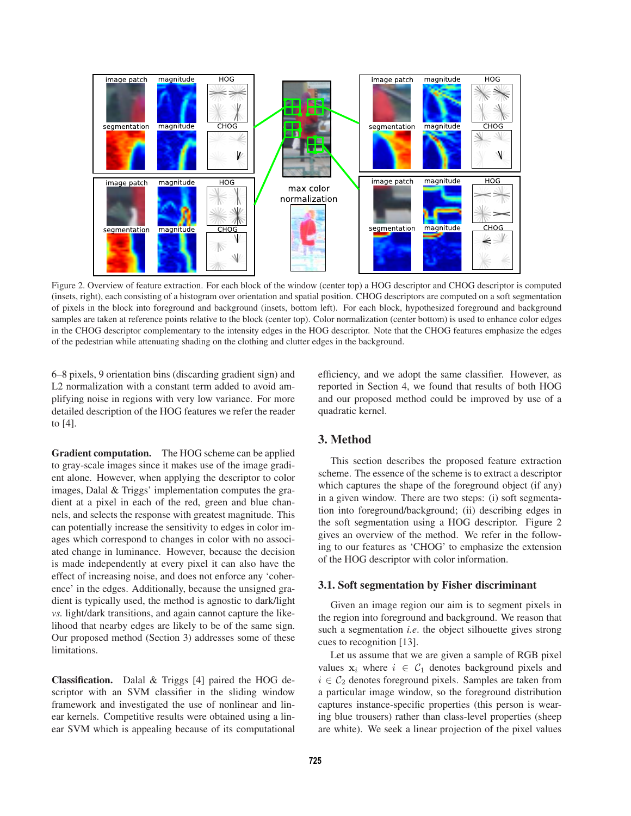

Figure 2. Overview of feature extraction. For each block of the window (center top) a HOG descriptor and CHOG descriptor is computed (insets, right), each consisting of a histogram over orientation and spatial position. CHOG descriptors are computed on a soft segmentation of pixels in the block into foreground and background (insets, bottom left). For each block, hypothesized foreground and background samples are taken at reference points relative to the block (center top). Color normalization (center bottom) is used to enhance color edges in the CHOG descriptor complementary to the intensity edges in the HOG descriptor. Note that the CHOG features emphasize the edges of the pedestrian while attenuating shading on the clothing and clutter edges in the background.

6–8 pixels, 9 orientation bins (discarding gradient sign) and L2 normalization with a constant term added to avoid amplifying noise in regions with very low variance. For more detailed description of the HOG features we refer the reader to [4].

efficiency, and we adopt the same classifier. However, as reported in Section 4, we found that results of both HOG and our proposed method could be improved by use of a quadratic kernel.

**Gradient computation.** The HOG scheme can be applied to gray-scale images since it makes use of the image gradient alone. However, when applying the descriptor to color images, Dalal & Triggs' implementation computes the gradient at a pixel in each of the red, green and blue channels, and selects the response with greatest magnitude. This can potentially increase the sensitivity to edges in color images which correspond to changes in color with no associated change in luminance. However, because the decision is made independently at every pixel it can also have the effect of increasing noise, and does not enforce any 'coherence' in the edges. Additionally, because the unsigned gradient is typically used, the method is agnostic to dark/light *vs.* light/dark transitions, and again cannot capture the likelihood that nearby edges are likely to be of the same sign. Our proposed method (Section 3) addresses some of these limitations.

**Classification.** Dalal & Triggs [4] paired the HOG descriptor with an SVM classifier in the sliding window framework and investigated the use of nonlinear and linear kernels. Competitive results were obtained using a linear SVM which is appealing because of its computational

## **3. Method**

This section describes the proposed feature extraction scheme. The essence of the scheme is to extract a descriptor which captures the shape of the foreground object (if any) in a given window. There are two steps: (i) soft segmentation into foreground/background; (ii) describing edges in the soft segmentation using a HOG descriptor. Figure 2 gives an overview of the method. We refer in the following to our features as 'CHOG' to emphasize the extension of the HOG descriptor with color information.

#### **3.1. Soft segmentation by Fisher discriminant**

Given an image region our aim is to segment pixels in the region into foreground and background. We reason that such a segmentation *i.e*. the object silhouette gives strong cues to recognition [13].

Let us assume that we are given a sample of RGB pixel values  $x_i$  where  $i \in C_1$  denotes background pixels and  $i \in C_2$  denotes foreground pixels. Samples are taken from a particular image window, so the foreground distribution captures instance-specific properties (this person is wearing blue trousers) rather than class-level properties (sheep are white). We seek a linear projection of the pixel values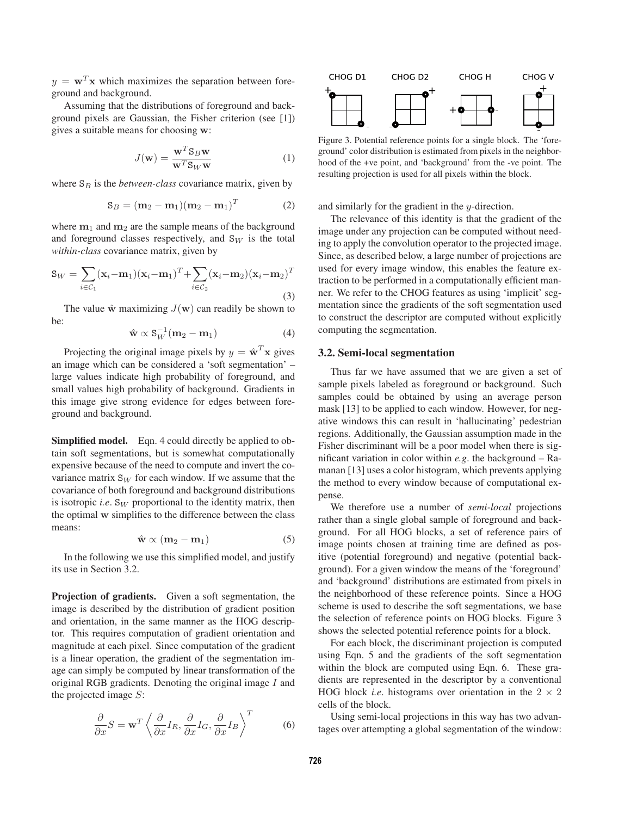$y = \mathbf{w}^T \mathbf{x}$  which maximizes the separation between foreground and background.

Assuming that the distributions of foreground and background pixels are Gaussian, the Fisher criterion (see [1]) gives a suitable means for choosing **w**:

$$
J(\mathbf{w}) = \frac{\mathbf{w}^T \mathbf{S}_B \mathbf{w}}{\mathbf{w}^T \mathbf{S}_W \mathbf{w}}
$$
(1)

where  $S_B$  is the *between-class* covariance matrix, given by

$$
\mathbf{S}_B = (\mathbf{m}_2 - \mathbf{m}_1)(\mathbf{m}_2 - \mathbf{m}_1)^T
$$
 (2)

where  $m_1$  and  $m_2$  are the sample means of the background and foreground classes respectively, and  $S_W$  is the total *within-class* covariance matrix, given by

$$
\mathbf{S}_W = \sum_{i \in \mathcal{C}_1} (\mathbf{x}_i - \mathbf{m}_1)(\mathbf{x}_i - \mathbf{m}_1)^T + \sum_{i \in \mathcal{C}_2} (\mathbf{x}_i - \mathbf{m}_2)(\mathbf{x}_i - \mathbf{m}_2)^T
$$
\n(3)

The value  $\hat{\mathbf{w}}$  maximizing  $J(\mathbf{w})$  can readily be shown to be:

$$
\hat{\mathbf{w}} \propto \mathbf{S}_W^{-1}(\mathbf{m}_2 - \mathbf{m}_1) \tag{4}
$$

Projecting the original image pixels by  $y = \hat{\mathbf{w}}^T \mathbf{x}$  gives an image which can be considered a 'soft segmentation' – large values indicate high probability of foreground, and small values high probability of background. Gradients in this image give strong evidence for edges between foreground and background.

**Simplified model.** Eqn. 4 could directly be applied to obtain soft segmentations, but is somewhat computationally expensive because of the need to compute and invert the covariance matrix  $S_W$  for each window. If we assume that the covariance of both foreground and background distributions is isotropic *i.e.* S<sub>W</sub> proportional to the identity matrix, then the optimal **w** simplifies to the difference between the class means:

$$
\hat{\mathbf{w}} \propto (\mathbf{m}_2 - \mathbf{m}_1) \tag{5}
$$

In the following we use this simplified model, and justify its use in Section 3.2.

**Projection of gradients.** Given a soft segmentation, the image is described by the distribution of gradient position and orientation, in the same manner as the HOG descriptor. This requires computation of gradient orientation and magnitude at each pixel. Since computation of the gradient is a linear operation, the gradient of the segmentation image can simply be computed by linear transformation of the original RGB gradients. Denoting the original image  $I$  and the projected image  $S$ :

$$
\frac{\partial}{\partial x}S = \mathbf{w}^T \left\langle \frac{\partial}{\partial x} I_R, \frac{\partial}{\partial x} I_G, \frac{\partial}{\partial x} I_B \right\rangle^T \tag{6}
$$



Figure 3. Potential reference points for a single block. The 'foreground' color distribution is estimated from pixels in the neighborhood of the +ve point, and 'background' from the -ve point. The resulting projection is used for all pixels within the block.

and similarly for the gradient in the y-direction.

The relevance of this identity is that the gradient of the image under any projection can be computed without needing to apply the convolution operator to the projected image. Since, as described below, a large number of projections are used for every image window, this enables the feature extraction to be performed in a computationally efficient manner. We refer to the CHOG features as using 'implicit' segmentation since the gradients of the soft segmentation used to construct the descriptor are computed without explicitly computing the segmentation.

#### **3.2. Semi-local segmentation**

Thus far we have assumed that we are given a set of sample pixels labeled as foreground or background. Such samples could be obtained by using an average person mask [13] to be applied to each window. However, for negative windows this can result in 'hallucinating' pedestrian regions. Additionally, the Gaussian assumption made in the Fisher discriminant will be a poor model when there is significant variation in color within *e.g*. the background – Ramanan [13] uses a color histogram, which prevents applying the method to every window because of computational expense.

We therefore use a number of *semi-local* projections rather than a single global sample of foreground and background. For all HOG blocks, a set of reference pairs of image points chosen at training time are defined as positive (potential foreground) and negative (potential background). For a given window the means of the 'foreground' and 'background' distributions are estimated from pixels in the neighborhood of these reference points. Since a HOG scheme is used to describe the soft segmentations, we base the selection of reference points on HOG blocks. Figure 3 shows the selected potential reference points for a block.

For each block, the discriminant projection is computed using Eqn. 5 and the gradients of the soft segmentation within the block are computed using Eqn. 6. These gradients are represented in the descriptor by a conventional HOG block *i.e.* histograms over orientation in the  $2 \times 2$ cells of the block.

Using semi-local projections in this way has two advantages over attempting a global segmentation of the window: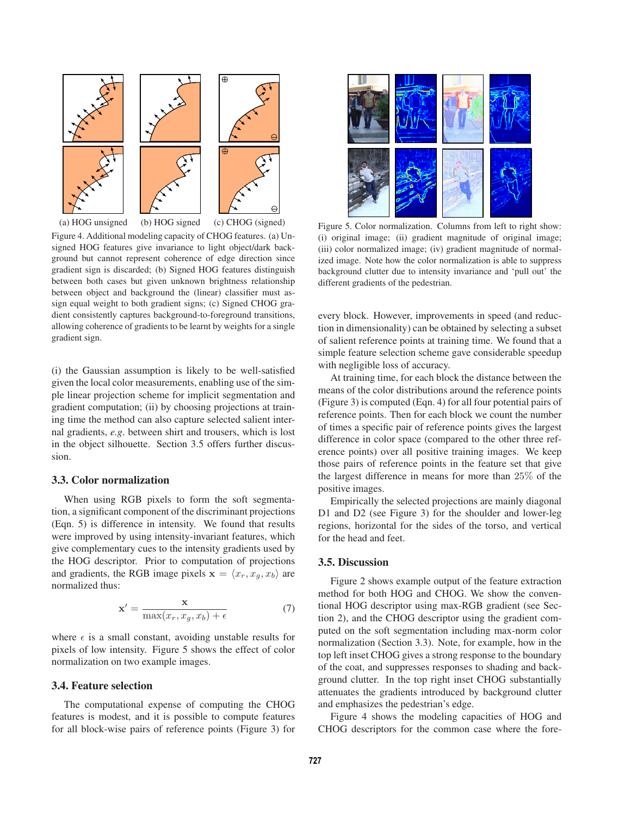

Figure 4. Additional modeling capacity of CHOG features. (a) Unsigned HOG features give invariance to light object/dark background but cannot represent coherence of edge direction since gradient sign is discarded; (b) Signed HOG features distinguish between both cases but given unknown brightness relationship between object and background the (linear) classifier must assign equal weight to both gradient signs; (c) Signed CHOG gradient consistently captures background-to-foreground transitions, allowing coherence of gradients to be learnt by weights for a single gradient sign.

(i) the Gaussian assumption is likely to be well-satisfied given the local color measurements, enabling use of the simple linear projection scheme for implicit segmentation and gradient computation; (ii) by choosing projections at training time the method can also capture selected salient internal gradients, *e.g*. between shirt and trousers, which is lost in the object silhouette. Section 3.5 offers further discussion.

#### **3.3. Color normalization**

When using RGB pixels to form the soft segmentation, a significant component of the discriminant projections (Eqn. 5) is difference in intensity. We found that results were improved by using intensity-invariant features, which give complementary cues to the intensity gradients used by the HOG descriptor. Prior to computation of projections and gradients, the RGB image pixels  $\mathbf{x} = \langle x_r, x_q, x_b \rangle$  are normalized thus:

$$
\mathbf{x}' = \frac{\mathbf{x}}{\max(x_r, x_g, x_b) + \epsilon} \tag{7}
$$

where  $\epsilon$  is a small constant, avoiding unstable results for pixels of low intensity. Figure 5 shows the effect of color normalization on two example images.

### **3.4. Feature selection**

The computational expense of computing the CHOG features is modest, and it is possible to compute features for all block-wise pairs of reference points (Figure 3) for



Figure 5. Color normalization. Columns from left to right show: (i) original image; (ii) gradient magnitude of original image; (iii) color normalized image; (iv) gradient magnitude of normalized image. Note how the color normalization is able to suppress background clutter due to intensity invariance and 'pull out' the different gradients of the pedestrian.

every block. However, improvements in speed (and reduction in dimensionality) can be obtained by selecting a subset of salient reference points at training time. We found that a simple feature selection scheme gave considerable speedup with negligible loss of accuracy.

At training time, for each block the distance between the means of the color distributions around the reference points (Figure 3) is computed (Eqn. 4) for all four potential pairs of reference points. Then for each block we count the number of times a specific pair of reference points gives the largest difference in color space (compared to the other three reference points) over all positive training images. We keep those pairs of reference points in the feature set that give the largest difference in means for more than 25% of the positive images.

Empirically the selected projections are mainly diagonal D1 and D2 (see Figure 3) for the shoulder and lower-leg regions, horizontal for the sides of the torso, and vertical for the head and feet.

#### **3.5. Discussion**

Figure 2 shows example output of the feature extraction method for both HOG and CHOG. We show the conventional HOG descriptor using max-RGB gradient (see Section 2), and the CHOG descriptor using the gradient computed on the soft segmentation including max-norm color normalization (Section 3.3). Note, for example, how in the top left inset CHOG gives a strong response to the boundary of the coat, and suppresses responses to shading and background clutter. In the top right inset CHOG substantially attenuates the gradients introduced by background clutter and emphasizes the pedestrian's edge.

Figure 4 shows the modeling capacities of HOG and CHOG descriptors for the common case where the fore-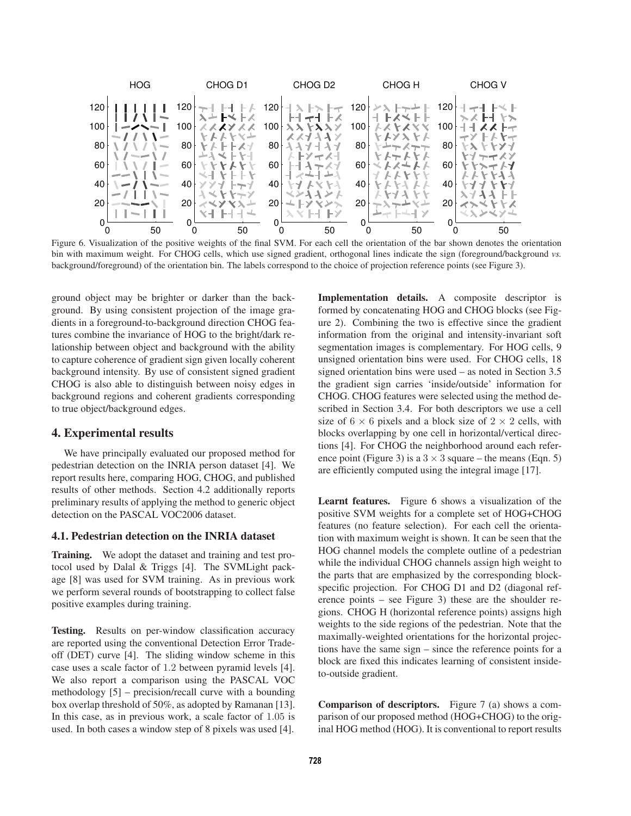

Figure 6. Visualization of the positive weights of the final SVM. For each cell the orientation of the bar shown denotes the orientation bin with maximum weight. For CHOG cells, which use signed gradient, orthogonal lines indicate the sign (foreground/background *vs.* background/foreground) of the orientation bin. The labels correspond to the choice of projection reference points (see Figure 3).

ground object may be brighter or darker than the background. By using consistent projection of the image gradients in a foreground-to-background direction CHOG features combine the invariance of HOG to the bright/dark relationship between object and background with the ability to capture coherence of gradient sign given locally coherent background intensity. By use of consistent signed gradient CHOG is also able to distinguish between noisy edges in background regions and coherent gradients corresponding to true object/background edges.

### **4. Experimental results**

We have principally evaluated our proposed method for pedestrian detection on the INRIA person dataset [4]. We report results here, comparing HOG, CHOG, and published results of other methods. Section 4.2 additionally reports preliminary results of applying the method to generic object detection on the PASCAL VOC2006 dataset.

#### **4.1. Pedestrian detection on the INRIA dataset**

**Training.** We adopt the dataset and training and test protocol used by Dalal & Triggs [4]. The SVMLight package [8] was used for SVM training. As in previous work we perform several rounds of bootstrapping to collect false positive examples during training.

**Testing.** Results on per-window classification accuracy are reported using the conventional Detection Error Tradeoff (DET) curve [4]. The sliding window scheme in this case uses a scale factor of 1.2 between pyramid levels [4]. We also report a comparison using the PASCAL VOC methodology [5] – precision/recall curve with a bounding box overlap threshold of 50%, as adopted by Ramanan [13]. In this case, as in previous work, a scale factor of 1.05 is used. In both cases a window step of 8 pixels was used [4].

**Implementation details.** A composite descriptor is formed by concatenating HOG and CHOG blocks (see Figure 2). Combining the two is effective since the gradient information from the original and intensity-invariant soft segmentation images is complementary. For HOG cells, 9 unsigned orientation bins were used. For CHOG cells, 18 signed orientation bins were used – as noted in Section 3.5 the gradient sign carries 'inside/outside' information for CHOG. CHOG features were selected using the method described in Section 3.4. For both descriptors we use a cell size of  $6 \times 6$  pixels and a block size of  $2 \times 2$  cells, with blocks overlapping by one cell in horizontal/vertical directions [4]. For CHOG the neighborhood around each reference point (Figure 3) is a  $3 \times 3$  square – the means (Eqn. 5) are efficiently computed using the integral image [17].

**Learnt features.** Figure 6 shows a visualization of the positive SVM weights for a complete set of HOG+CHOG features (no feature selection). For each cell the orientation with maximum weight is shown. It can be seen that the HOG channel models the complete outline of a pedestrian while the individual CHOG channels assign high weight to the parts that are emphasized by the corresponding blockspecific projection. For CHOG D1 and D2 (diagonal reference points – see Figure 3) these are the shoulder regions. CHOG H (horizontal reference points) assigns high weights to the side regions of the pedestrian. Note that the maximally-weighted orientations for the horizontal projections have the same sign – since the reference points for a block are fixed this indicates learning of consistent insideto-outside gradient.

**Comparison of descriptors.** Figure 7 (a) shows a comparison of our proposed method (HOG+CHOG) to the original HOG method (HOG). It is conventional to report results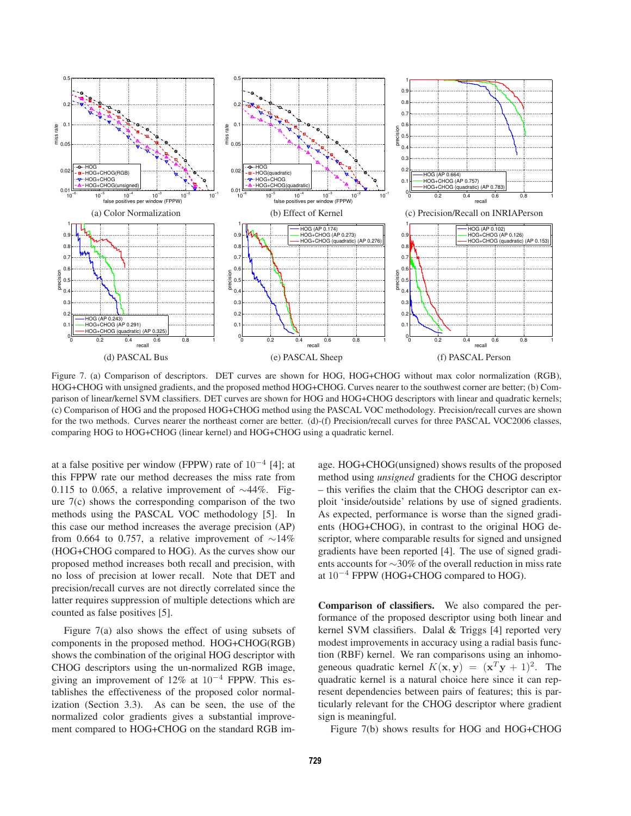

Figure 7. (a) Comparison of descriptors. DET curves are shown for HOG, HOG+CHOG without max color normalization (RGB), HOG+CHOG with unsigned gradients, and the proposed method HOG+CHOG. Curves nearer to the southwest corner are better; (b) Comparison of linear/kernel SVM classifiers. DET curves are shown for HOG and HOG+CHOG descriptors with linear and quadratic kernels; (c) Comparison of HOG and the proposed HOG+CHOG method using the PASCAL VOC methodology. Precision/recall curves are shown for the two methods. Curves nearer the northeast corner are better. (d)-(f) Precision/recall curves for three PASCAL VOC2006 classes, comparing HOG to HOG+CHOG (linear kernel) and HOG+CHOG using a quadratic kernel.

at a false positive per window (FPPW) rate of  $10^{-4}$  [4]; at this FPPW rate our method decreases the miss rate from 0.115 to 0.065, a relative improvement of ∼44%. Figure 7(c) shows the corresponding comparison of the two methods using the PASCAL VOC methodology [5]. In this case our method increases the average precision (AP) from 0.664 to 0.757, a relative improvement of  $\sim$ 14% (HOG+CHOG compared to HOG). As the curves show our proposed method increases both recall and precision, with no loss of precision at lower recall. Note that DET and precision/recall curves are not directly correlated since the latter requires suppression of multiple detections which are counted as false positives [5].

Figure 7(a) also shows the effect of using subsets of components in the proposed method. HOG+CHOG(RGB) shows the combination of the original HOG descriptor with CHOG descriptors using the un-normalized RGB image, giving an improvement of 12% at  $10^{-4}$  FPPW. This establishes the effectiveness of the proposed color normalization (Section 3.3). As can be seen, the use of the normalized color gradients gives a substantial improvement compared to HOG+CHOG on the standard RGB image. HOG+CHOG(unsigned) shows results of the proposed method using *unsigned* gradients for the CHOG descriptor – this verifies the claim that the CHOG descriptor can exploit 'inside/outside' relations by use of signed gradients. As expected, performance is worse than the signed gradients (HOG+CHOG), in contrast to the original HOG descriptor, where comparable results for signed and unsigned gradients have been reported [4]. The use of signed gradients accounts for ∼30% of the overall reduction in miss rate at  $10^{-4}$  FPPW (HOG+CHOG compared to HOG).

**Comparison of classifiers.** We also compared the performance of the proposed descriptor using both linear and kernel SVM classifiers. Dalal & Triggs [4] reported very modest improvements in accuracy using a radial basis function (RBF) kernel. We ran comparisons using an inhomogeneous quadratic kernel  $K(\mathbf{x}, \mathbf{y}) = (\mathbf{x}^T \mathbf{y} + 1)^2$ . The quadratic kernel is a natural choice here since it can represent dependencies between pairs of features; this is particularly relevant for the CHOG descriptor where gradient sign is meaningful.

Figure 7(b) shows results for HOG and HOG+CHOG